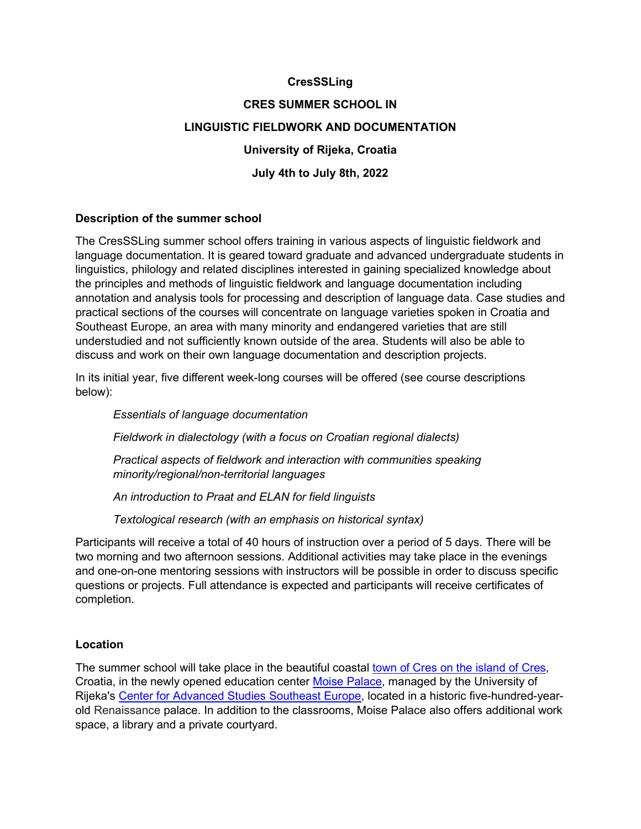# **CresSSLing**

# **CRES SUMMER SCHOOL IN LINGUISTIC FIELDWORK AND DOCUMENTATION University of Rijeka, Croatia July 4th to July 8th, 2022**

# **Description of the summer school**

The CresSSLing summer school offers training in various aspects of linguistic fieldwork and language documentation. It is geared toward graduate and advanced undergraduate students in linguistics, philology and related disciplines interested in gaining specialized knowledge about the principles and methods of linguistic fieldwork and language documentation including annotation and analysis tools for processing and description of language data. Case studies and practical sections of the courses will concentrate on language varieties spoken in Croatia and Southeast Europe, an area with many minority and endangered varieties that are still understudied and not sufficiently known outside of the area. Students will also be able to discuss and work on their own language documentation and description projects.

In its initial year, five different week-long courses will be offered (see course descriptions below):

*Essentials of language documentation*

*Fieldwork in dialectology (with a focus on Croatian regional dialects)*

*Practical aspects of fieldwork and interaction with communities speaking minority/regional/non-territorial languages* 

*An introduction to Praat and ELAN for field linguists*

*Textological research (with an emphasis on historical syntax)*

Participants will receive a total of 40 hours of instruction over a period of 5 days. There will be two morning and two afternoon sessions. Additional activities may take place in the evenings and one-on-one mentoring sessions with instructors will be possible in order to discuss specific questions or projects. Full attendance is expected and participants will receive certificates of completion.

#### **Location**

The summer school will take place in the beautiful coastal [town of Cres on the island of Cres,](http://www.tzg-cres.hr/en/) Croatia, in the newly opened education center [Moise](https://uniri.hr/en/university-and-community/palace-moise/) Palace, managed by the University of Rijeka's [Center for Advanced Studies Southeast Europe,](https://cas.uniri.hr/o-centru/httwww-uniri-hr/) located in a historic five-hundred-yearold Renaissance palace. In addition to the classrooms, Moise Palace also offers additional work space, a library and a private courtyard.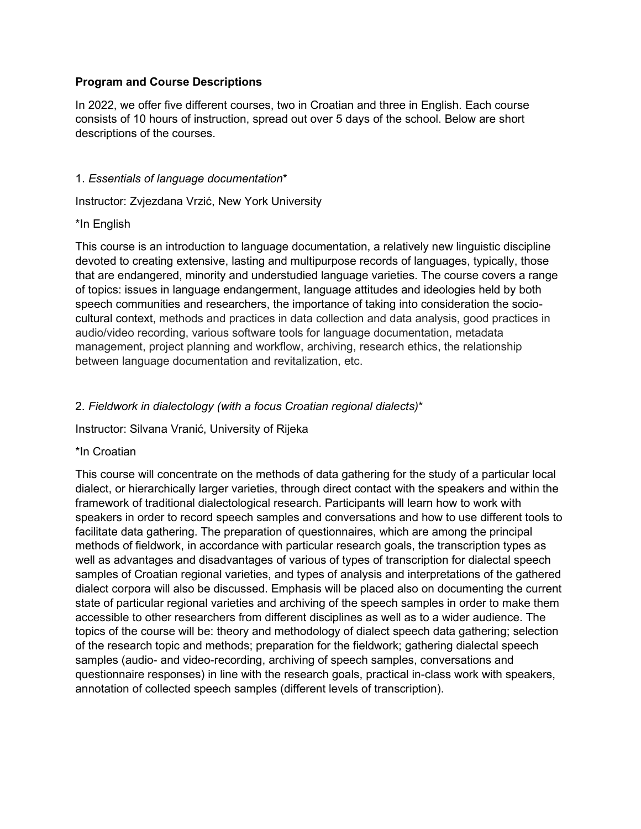# **Program and Course Descriptions**

In 2022, we offer five different courses, two in Croatian and three in English. Each course consists of 10 hours of instruction, spread out over 5 days of the school. Below are short descriptions of the courses.

### 1. *Essentials of language documentation*\*

Instructor: Zvjezdana Vrzić, New York University

#### \*In English

This course is an introduction to language documentation, a relatively new linguistic discipline devoted to creating extensive, lasting and multipurpose records of languages, typically, those that are endangered, minority and understudied language varieties. The course covers a range of topics: issues in language endangerment, language attitudes and ideologies held by both speech communities and researchers, the importance of taking into consideration the sociocultural context, methods and practices in data collection and data analysis, good practices in audio/video recording, various software tools for language documentation, metadata management, project planning and workflow, archiving, research ethics, the relationship between language documentation and revitalization, etc.

# 2. *Fieldwork in dialectology (with a focus Croatian regional dialects)*\*

Instructor: Silvana Vranić, University of Rijeka

# \*In Croatian

This course will concentrate on the methods of data gathering for the study of a particular local dialect, or hierarchically larger varieties, through direct contact with the speakers and within the framework of traditional dialectological research. Participants will learn how to work with speakers in order to record speech samples and conversations and how to use different tools to facilitate data gathering. The preparation of questionnaires, which are among the principal methods of fieldwork, in accordance with particular research goals, the transcription types as well as advantages and disadvantages of various of types of transcription for dialectal speech samples of Croatian regional varieties, and types of analysis and interpretations of the gathered dialect corpora will also be discussed. Emphasis will be placed also on documenting the current state of particular regional varieties and archiving of the speech samples in order to make them accessible to other researchers from different disciplines as well as to a wider audience. The topics of the course will be: theory and methodology of dialect speech data gathering; selection of the research topic and methods; preparation for the fieldwork; gathering dialectal speech samples (audio- and video-recording, archiving of speech samples, conversations and questionnaire responses) in line with the research goals, practical in-class work with speakers, annotation of collected speech samples (different levels of transcription).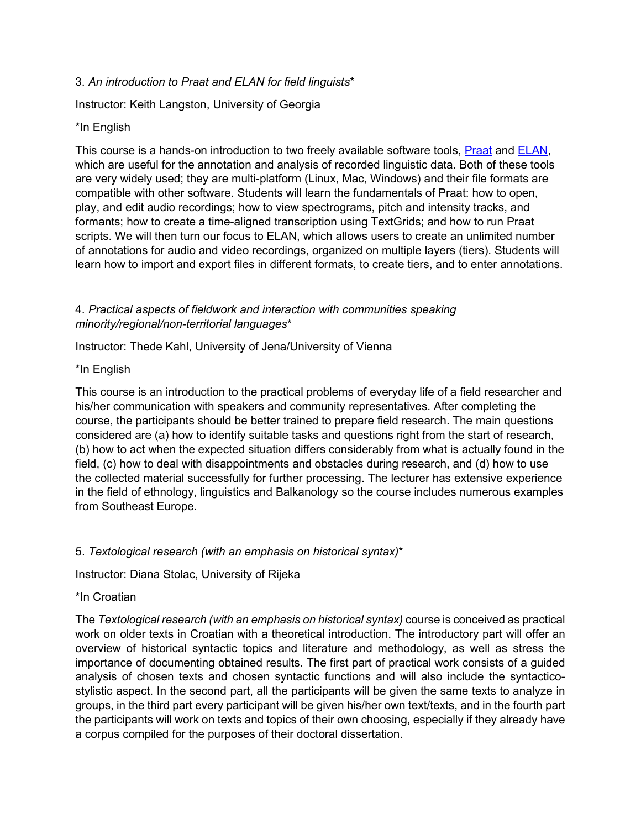# 3. *An introduction to Praat and ELAN for field linguists*\*

Instructor: Keith Langston, University of Georgia

# \*In English

This course is a hands-on introduction to two freely available software tools, [Praat](https://www.fon.hum.uva.nl/praat/) and [ELAN,](https://archive.mpi.nl/tla/elan) which are useful for the annotation and analysis of recorded linguistic data. Both of these tools are very widely used; they are multi-platform (Linux, Mac, Windows) and their file formats are compatible with other software. Students will learn the fundamentals of Praat: how to open, play, and edit audio recordings; how to view spectrograms, pitch and intensity tracks, and formants; how to create a time-aligned transcription using TextGrids; and how to run Praat scripts. We will then turn our focus to ELAN, which allows users to create an unlimited number of annotations for audio and video recordings, organized on multiple layers (tiers). Students will learn how to import and export files in different formats, to create tiers, and to enter annotations.

# 4. *Practical aspects of fieldwork and interaction with communities speaking minority/regional/non-territorial languages*\*

Instructor: Thede Kahl, University of Jena/University of Vienna

# \*In English

This course is an introduction to the practical problems of everyday life of a field researcher and his/her communication with speakers and community representatives. After completing the course, the participants should be better trained to prepare field research. The main questions considered are (a) how to identify suitable tasks and questions right from the start of research, (b) how to act when the expected situation differs considerably from what is actually found in the field, (c) how to deal with disappointments and obstacles during research, and (d) how to use the collected material successfully for further processing. The lecturer has extensive experience in the field of ethnology, linguistics and Balkanology so the course includes numerous examples from Southeast Europe.

# 5. *Textological research (with an emphasis on historical syntax)*\*

Instructor: Diana Stolac, University of Rijeka

# \*In Croatian

The *Textological research (with an emphasis on historical syntax)* course is conceived as practical work on older texts in Croatian with a theoretical introduction. The introductory part will offer an overview of historical syntactic topics and literature and methodology, as well as stress the importance of documenting obtained results. The first part of practical work consists of a guided analysis of chosen texts and chosen syntactic functions and will also include the syntacticostylistic aspect. In the second part, all the participants will be given the same texts to analyze in groups, in the third part every participant will be given his/her own text/texts, and in the fourth part the participants will work on texts and topics of their own choosing, especially if they already have a corpus compiled for the purposes of their doctoral dissertation.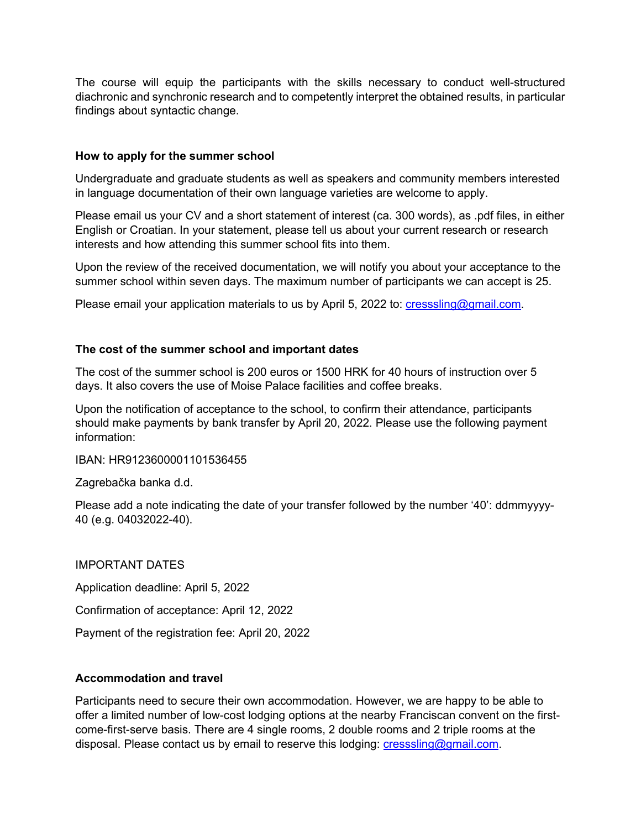The course will equip the participants with the skills necessary to conduct well-structured diachronic and synchronic research and to competently interpret the obtained results, in particular findings about syntactic change.

# **How to apply for the summer school**

Undergraduate and graduate students as well as speakers and community members interested in language documentation of their own language varieties are welcome to apply.

Please email us your CV and a short statement of interest (ca. 300 words), as .pdf files, in either English or Croatian. In your statement, please tell us about your current research or research interests and how attending this summer school fits into them.

Upon the review of the received documentation, we will notify you about your acceptance to the summer school within seven days. The maximum number of participants we can accept is 25.

Please email your application materials to us by April 5, 2022 to: [cresssling@gmail.com.](mailto:cresssling@gmail.com)

### **The cost of the summer school and important dates**

The cost of the summer school is 200 euros or 1500 HRK for 40 hours of instruction over 5 days. It also covers the use of Moise Palace facilities and coffee breaks.

Upon the notification of acceptance to the school, to confirm their attendance, participants should make payments by bank transfer by April 20, 2022. Please use the following payment information:

IBAN: HR9123600001101536455

Zagrebačka banka d.d.

Please add a note indicating the date of your transfer followed by the number '40': ddmmyyyy-40 (e.g. 04032022-40).

#### IMPORTANT DATES

Application deadline: April 5, 2022 Confirmation of acceptance: April 12, 2022

Payment of the registration fee: April 20, 2022

#### **Accommodation and travel**

Participants need to secure their own accommodation. However, we are happy to be able to offer a limited number of low-cost lodging options at the nearby Franciscan convent on the firstcome-first-serve basis. There are 4 single rooms, 2 double rooms and 2 triple rooms at the disposal. Please contact us by email to reserve this lodging: [cresssling@gmail.com.](mailto:cresssling@gmail.com)